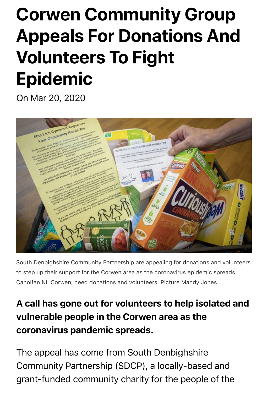## **Corwen Community Group Appeals For Donations And Volunteers To Fight Epidemic**

On Mar 20, 2020



[South Denbighshire Community Partnership are appealing for donations and volunteers](https://www.wales247.co.uk/wp-content/uploads/2020/03/170320-SDP-2-scaled.jpg) to step up their support for the Corwen area as the coronavirus epidemic spreads Canolfan Ni, Corwen; need donations and volunteers. Picture Mandy Jones

## A call has gone out for volunteers to help isolated and vulnerable people in the Corwen area as the coronavirus pandemic spreads.

The appeal has come from South Denbighshire Community Partnership (SDCP), a locally-based and grant-funded community charity for the people of the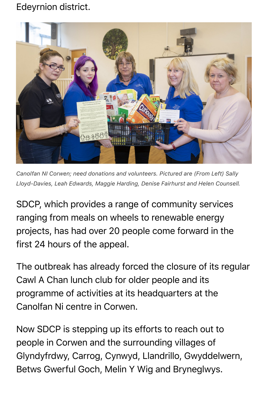## Edeyrnion district.



*Canolfan NI Corwen; need donations and volunteers. Pictured are (From Left) Sally Lloyd-Davies, Leah Edwards, Maggie Harding, Denise Fairhurst and Helen Counsell.*

SDCP, which provides a range of community services ranging from meals on wheels to renewable energy projects, has had over 20 people come forward in the first 24 hours of the appeal.

The outbreak has already forced the closure of its regular Cawl A Chan lunch club for older people and its programme of activities at its headquarters at the Canolfan Ni centre in Corwen.

Now SDCP is stepping up its efforts to reach out to people in Corwen and the surrounding villages of Glyndyfrdwy, Carrog, Cynwyd, Llandrillo, Gwyddelwern, Betws Gwerful Goch, Melin Y Wig and Bryneglwys.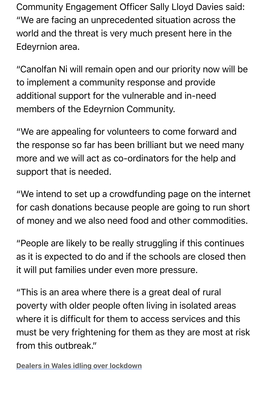"We are facing an unprecedented situation across the world and the threat is very much present here in the Edeyrnion area.

"Canolfan Ni will remain open and our priority now will be to implement a community response and provide additional support for the vulnerable and in-need members of the Edeyrnion Community.

"We are appealing for volunteers to come forward and the response so far has been brilliant but we need many more and we will act as co-ordinators for the help and support that is needed.

"We intend to set up a crowdfunding page on the internet for cash donations because people are going to run short of money and we also need food and other commodities.

"People are likely to be really struggling if this continues as it is expected to do and if the schools are closed then it will put families under even more pressure.

"This is an area where there is a great deal of rural poverty with older people often living in isolated areas where it is difficult for them to access services and this must be very frightening for them as they are most at risk from this outbreak."

Dealers in Wales idling over lockdown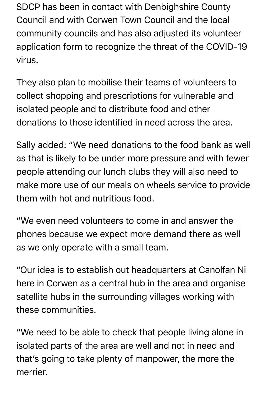SDCP has been in contact with Denbighshire County Council and with Corwen Town Council and the local community councils and has also adjusted its volunteer application form to recognize the threat of the COVID-19 virus.

They also plan to mobilise their teams of volunteers to collect shopping and prescriptions for vulnerable and isolated people and to distribute food and other donations to those identified in need across the area.

Sally added: "We need donations to the food bank as well as that is likely to be under more pressure and with fewer people attending our lunch clubs they will also need to make more use of our meals on wheels service to provide them with hot and nutritious food.

"We even need volunteers to come in and answer the phones because we expect more demand there as well as we only operate with a small team.

"Our idea is to establish out headquarters at Canolfan Ni here in Corwen as a central hub in the area and organise satellite hubs in the surrounding villages working with these communities.

"We need to be able to check that people living alone in isolated parts of the area are well and not in need and that's going to take plenty of manpower, the more the merrier.